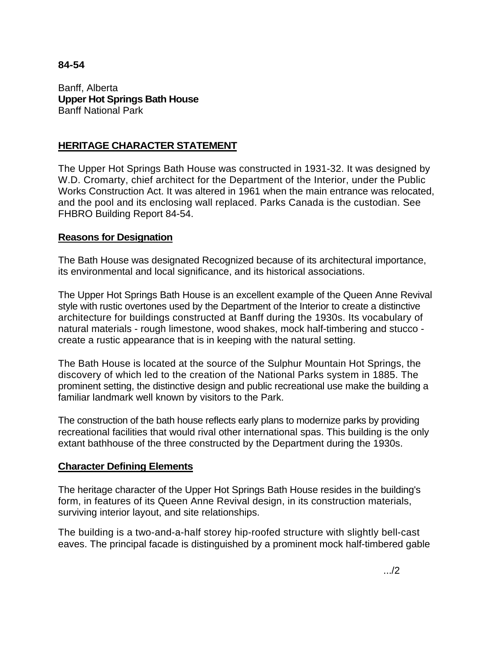#### **84-54**

Banff, Alberta **Upper Hot Springs Bath House**  Banff National Park

# **HERITAGE CHARACTER STATEMENT**

The Upper Hot Springs Bath House was constructed in 1931-32. It was designed by W.D. Cromarty, chief architect for the Department of the Interior, under the Public Works Construction Act. It was altered in 1961 when the main entrance was relocated, and the pool and its enclosing wall replaced. Parks Canada is the custodian. See FHBRO Building Report 84-54.

## **Reasons for Designation**

The Bath House was designated Recognized because of its architectural importance, its environmental and local significance, and its historical associations.

The Upper Hot Springs Bath House is an excellent example of the Queen Anne Revival style with rustic overtones used by the Department of the Interior to create a distinctive architecture for buildings constructed at Banff during the 1930s. Its vocabulary of natural materials - rough limestone, wood shakes, mock half-timbering and stucco create a rustic appearance that is in keeping with the natural setting.

The Bath House is located at the source of the Sulphur Mountain Hot Springs, the discovery of which led to the creation of the National Parks system in 1885. The prominent setting, the distinctive design and public recreational use make the building a familiar landmark well known by visitors to the Park.

The construction of the bath house reflects early plans to modernize parks by providing recreational facilities that would rival other international spas. This building is the only extant bathhouse of the three constructed by the Department during the 1930s.

#### **Character Defining Elements**

The heritage character of the Upper Hot Springs Bath House resides in the building's form, in features of its Queen Anne Revival design, in its construction materials, surviving interior layout, and site relationships.

The building is a two-and-a-half storey hip-roofed structure with slightly bell-cast eaves. The principal facade is distinguished by a prominent mock half-timbered gable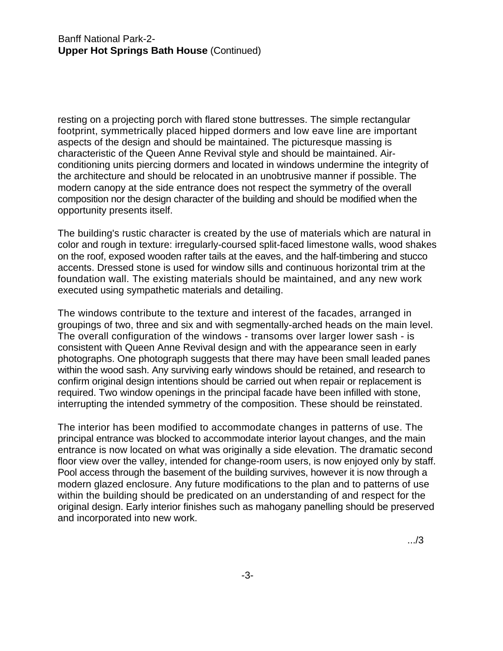resting on a projecting porch with flared stone buttresses. The simple rectangular footprint, symmetrically placed hipped dormers and low eave line are important aspects of the design and should be maintained. The picturesque massing is characteristic of the Queen Anne Revival style and should be maintained. Airconditioning units piercing dormers and located in windows undermine the integrity of the architecture and should be relocated in an unobtrusive manner if possible. The modern canopy at the side entrance does not respect the symmetry of the overall composition nor the design character of the building and should be modified when the opportunity presents itself.

The building's rustic character is created by the use of materials which are natural in color and rough in texture: irregularly-coursed split-faced limestone walls, wood shakes on the roof, exposed wooden rafter tails at the eaves, and the half-timbering and stucco accents. Dressed stone is used for window sills and continuous horizontal trim at the foundation wall. The existing materials should be maintained, and any new work executed using sympathetic materials and detailing.

The windows contribute to the texture and interest of the facades, arranged in groupings of two, three and six and with segmentally-arched heads on the main level. The overall configuration of the windows - transoms over larger lower sash - is consistent with Queen Anne Revival design and with the appearance seen in early photographs. One photograph suggests that there may have been small leaded panes within the wood sash. Any surviving early windows should be retained, and research to confirm original design intentions should be carried out when repair or replacement is required. Two window openings in the principal facade have been infilled with stone, interrupting the intended symmetry of the composition. These should be reinstated.

The interior has been modified to accommodate changes in patterns of use. The principal entrance was blocked to accommodate interior layout changes, and the main entrance is now located on what was originally a side elevation. The dramatic second floor view over the valley, intended for change-room users, is now enjoyed only by staff. Pool access through the basement of the building survives, however it is now through a modern glazed enclosure. Any future modifications to the plan and to patterns of use within the building should be predicated on an understanding of and respect for the original design. Early interior finishes such as mahogany panelling should be preserved and incorporated into new work.